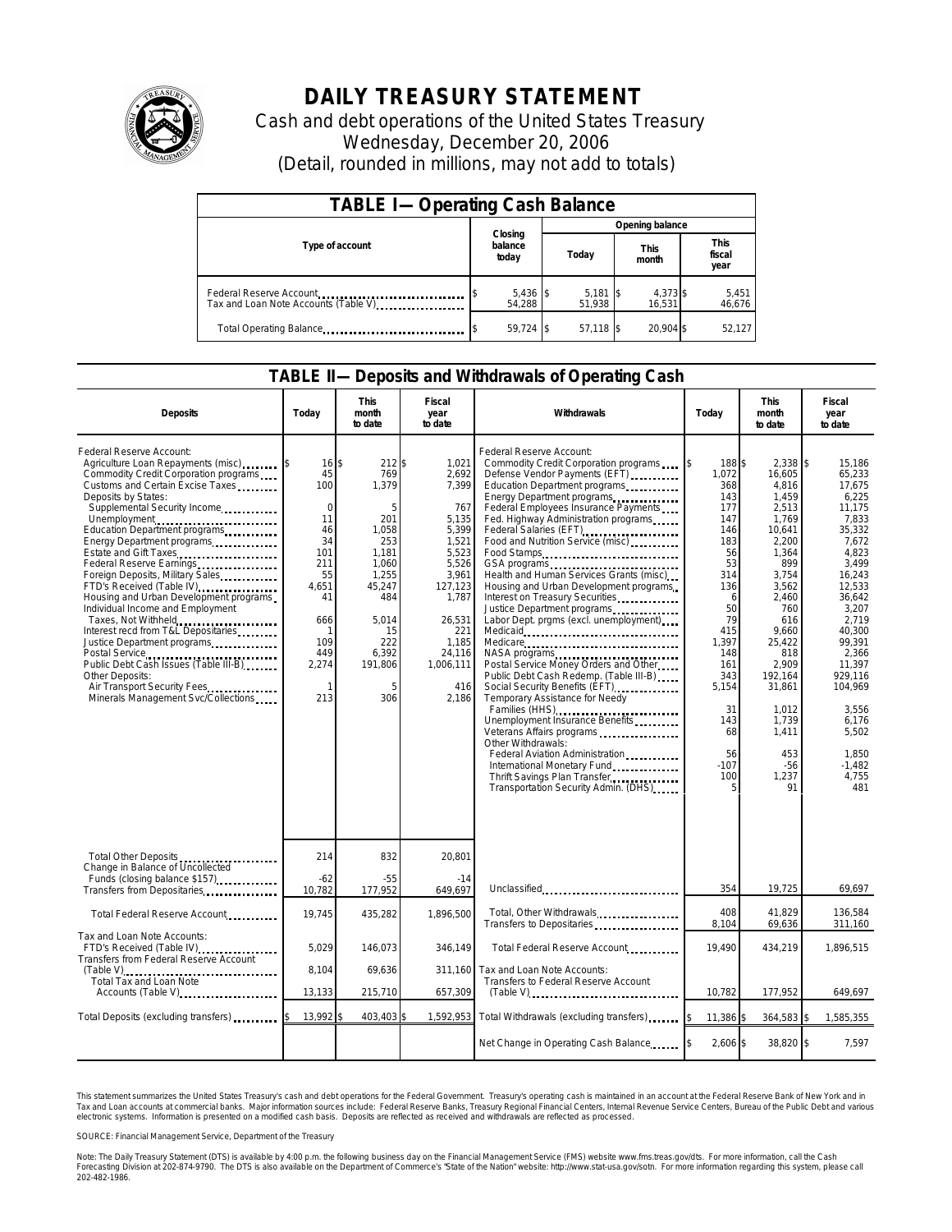

## **DAILY TREASURY STATEMENT**

Cash and debt operations of the United States Treasury Wednesday, December 20, 2006 (Detail, rounded in millions, may not add to totals)

| <b>TABLE I-Operating Cash Balance</b>                           |                             |                      |                      |                               |  |  |  |
|-----------------------------------------------------------------|-----------------------------|----------------------|----------------------|-------------------------------|--|--|--|
|                                                                 |                             | Opening balance      |                      |                               |  |  |  |
| Type of account                                                 | Closing<br>balance<br>today | Today                | <b>This</b><br>month | <b>This</b><br>fiscal<br>year |  |  |  |
| Federal Reserve Account<br>Tax and Loan Note Accounts (Table V) | $5,436$ \$<br>54.288        | $5,181$ \$<br>51.938 | 4,373 \$<br>16.531   | 5,451<br>46,676               |  |  |  |
| Total Operating Balance                                         | $59.724$ \$                 | 57.118 \$            | 20.904 \$            | 52,127                        |  |  |  |

## **TABLE II—Deposits and Withdrawals of Operating Cash**

| <b>Deposits</b>                                                                                                                                                                                                                                                                                                                                                                                                                                                                                                                                                                                                                                                                                                           | Todav                                                                                                                             | <b>This</b><br>month<br>to date                                                                                                                      | Fiscal<br>year<br>to date                                                                                                                                                 | Withdrawals                                                                                                                                                                                                                                                                                                                                                                                                                                                                                                                                                                                                                                                                                                                                                                                                                                                                                                                                                                            | Today                                                                                                                                                                                               | <b>This</b><br>month<br>to date                                                                                                                                                                                                                      | Fiscal<br>year<br>to date                                                                                                                                                                                                                                                |
|---------------------------------------------------------------------------------------------------------------------------------------------------------------------------------------------------------------------------------------------------------------------------------------------------------------------------------------------------------------------------------------------------------------------------------------------------------------------------------------------------------------------------------------------------------------------------------------------------------------------------------------------------------------------------------------------------------------------------|-----------------------------------------------------------------------------------------------------------------------------------|------------------------------------------------------------------------------------------------------------------------------------------------------|---------------------------------------------------------------------------------------------------------------------------------------------------------------------------|----------------------------------------------------------------------------------------------------------------------------------------------------------------------------------------------------------------------------------------------------------------------------------------------------------------------------------------------------------------------------------------------------------------------------------------------------------------------------------------------------------------------------------------------------------------------------------------------------------------------------------------------------------------------------------------------------------------------------------------------------------------------------------------------------------------------------------------------------------------------------------------------------------------------------------------------------------------------------------------|-----------------------------------------------------------------------------------------------------------------------------------------------------------------------------------------------------|------------------------------------------------------------------------------------------------------------------------------------------------------------------------------------------------------------------------------------------------------|--------------------------------------------------------------------------------------------------------------------------------------------------------------------------------------------------------------------------------------------------------------------------|
| Federal Reserve Account:<br>Agriculture Loan Repayments (misc) [15]<br>Commodity Credit Corporation programs<br>Customs and Certain Excise Taxes<br>Deposits by States:<br>Supplemental Security Income<br>Unemployment<br>Education Department programs<br>Energy Department programs<br>Estate and Gift Taxes<br>Federal Reserve Earnings<br>Foreign Deposits, Military Sales<br>FTD's Received (Table IV)<br>Housing and Urban Development programs<br>Individual Income and Employment<br>Taxes, Not Withheld<br>Interest recd from T&L Depositaries<br>Justice Department programs<br>Public Debt Cash Issues (Table III-B)<br>Other Deposits:<br>Air Transport Security Fees<br>Minerals Management Svc/Collections | $16$ $\bar{s}$<br>45<br>100<br>$\Omega$<br>11<br>46<br>34<br>101<br>211<br>55<br>4,651<br>41<br>666<br>109<br>449<br>2,274<br>213 | 212 \$<br>769<br>1,379<br>5<br>201<br>1,058<br>253<br>1,181<br>1.060<br>1.255<br>45,247<br>484<br>5.014<br>15<br>222<br>6.392<br>191,806<br>5<br>306 | 1,021<br>2,692<br>7.399<br>767<br>5.135<br>5.399<br>1,521<br>5,523<br>5,526<br>3,961<br>127,123<br>1,787<br>26,531<br>221<br>1.185<br>24.116<br>1.006.111<br>416<br>2.186 | Federal Reserve Account:<br>Commodity Credit Corporation programs<br>Defense Vendor Payments (EFT)<br>Education Department programs<br>Energy Department programs<br>Federal Employees Insurance Payments<br>Fed. Highway Administration programs<br>Federal Salaries (EFT)<br>Food and Nutrition Service (misc)<br>Food Stamps<br>GSA programs<br>Health and Human Services Grants (misc)<br>Housing and Urban Development programs<br>Interest on Treasury Securities<br>Justice Department programs<br>Labor Dept. prgms (excl. unemployment)<br>Medicare<br>NASA programs<br>Postal Service Money Orders and Other<br>Public Debt Cash Redemp. (Table III-B)<br>Social Security Benefits (EFT)<br>Temporary Assistance for Needy<br>Families (HHS)<br>Unemployment Insurance Benefits<br>Veterans Affairs programs<br>Other Withdrawals:<br>Federal Aviation Administration<br>International Monetary Fund<br>Thrift Savings Plan Transfer<br>Transportation Security Admin. (DHS) | I\$<br>188 \$<br>1.072<br>368<br>143<br>177<br>147<br>146<br>183<br>56<br>53<br>314<br>136<br>6<br>50<br>79<br>415<br>1.397<br>148<br>161<br>343<br>5,154<br>31<br>143<br>68<br>56<br>$-107$<br>100 | 2,338 \$<br>16.605<br>4.816<br>1,459<br>2,513<br>1,769<br>10.641<br>2,200<br>1,364<br>899<br>3,754<br>3,562<br>2,460<br>760<br>616<br>9,660<br>25,422<br>818<br>2.909<br>192,164<br>31,861<br>1,012<br>1,739<br>1,411<br>453<br>$-56$<br>1,237<br>91 | 15.186<br>65,233<br>17.675<br>6,225<br>11.175<br>7.833<br>35.332<br>7,672<br>4.823<br>3.499<br>16.243<br>12.533<br>36.642<br>3,207<br>2.719<br>40.300<br>99.391<br>2.366<br>11.397<br>929.116<br>104,969<br>3,556<br>6.176<br>5.502<br>1,850<br>$-1,482$<br>4.755<br>481 |
| Total Other Deposits<br>Change in Balance of Uncollected                                                                                                                                                                                                                                                                                                                                                                                                                                                                                                                                                                                                                                                                  | 214                                                                                                                               | 832                                                                                                                                                  | 20,801                                                                                                                                                                    |                                                                                                                                                                                                                                                                                                                                                                                                                                                                                                                                                                                                                                                                                                                                                                                                                                                                                                                                                                                        |                                                                                                                                                                                                     |                                                                                                                                                                                                                                                      |                                                                                                                                                                                                                                                                          |
| Funds (closing balance \$157)<br>Transfers from Depositaries<br>                                                                                                                                                                                                                                                                                                                                                                                                                                                                                                                                                                                                                                                          | $-62$<br>10,782                                                                                                                   | $-55$<br>177,952                                                                                                                                     | $-14$<br>649,697                                                                                                                                                          | Unclassified                                                                                                                                                                                                                                                                                                                                                                                                                                                                                                                                                                                                                                                                                                                                                                                                                                                                                                                                                                           | 354                                                                                                                                                                                                 | 19,725                                                                                                                                                                                                                                               | 69,697                                                                                                                                                                                                                                                                   |
| Total Federal Reserve Account                                                                                                                                                                                                                                                                                                                                                                                                                                                                                                                                                                                                                                                                                             | 19,745                                                                                                                            | 435,282                                                                                                                                              | 1,896,500                                                                                                                                                                 | Total, Other Withdrawals<br>Transfers to Depositaries                                                                                                                                                                                                                                                                                                                                                                                                                                                                                                                                                                                                                                                                                                                                                                                                                                                                                                                                  | 408<br>8,104                                                                                                                                                                                        | 41,829<br>69,636                                                                                                                                                                                                                                     | 136,584<br>311,160                                                                                                                                                                                                                                                       |
| Tax and Loan Note Accounts:<br>FTD's Received (Table IV)<br>Transfers from Federal Reserve Account                                                                                                                                                                                                                                                                                                                                                                                                                                                                                                                                                                                                                        | 5,029                                                                                                                             | 146,073                                                                                                                                              | 346,149                                                                                                                                                                   | Total Federal Reserve Account                                                                                                                                                                                                                                                                                                                                                                                                                                                                                                                                                                                                                                                                                                                                                                                                                                                                                                                                                          | 19,490                                                                                                                                                                                              | 434,219                                                                                                                                                                                                                                              | 1,896,515                                                                                                                                                                                                                                                                |
| $(Table V), \ldots, \ldots, \ldots, \ldots, \ldots, \ldots, \ldots, \ldots$<br>Total Tax and Loan Note<br>Accounts (Table V)                                                                                                                                                                                                                                                                                                                                                                                                                                                                                                                                                                                              | 8.104<br>13,133                                                                                                                   | 69,636<br>215,710                                                                                                                                    | 311.160<br>657,309                                                                                                                                                        | Tax and Loan Note Accounts:<br>Transfers to Federal Reserve Account<br>$(Table V)$                                                                                                                                                                                                                                                                                                                                                                                                                                                                                                                                                                                                                                                                                                                                                                                                                                                                                                     | 10,782                                                                                                                                                                                              | 177,952                                                                                                                                                                                                                                              | 649,697                                                                                                                                                                                                                                                                  |
| Total Deposits (excluding transfers)                                                                                                                                                                                                                                                                                                                                                                                                                                                                                                                                                                                                                                                                                      | 13,992                                                                                                                            | 403,403                                                                                                                                              | 1,592,953                                                                                                                                                                 | Total Withdrawals (excluding transfers)                                                                                                                                                                                                                                                                                                                                                                                                                                                                                                                                                                                                                                                                                                                                                                                                                                                                                                                                                | 11,386 \$                                                                                                                                                                                           | 364,583 \$                                                                                                                                                                                                                                           | 1,585,355                                                                                                                                                                                                                                                                |
|                                                                                                                                                                                                                                                                                                                                                                                                                                                                                                                                                                                                                                                                                                                           |                                                                                                                                   |                                                                                                                                                      |                                                                                                                                                                           | Net Change in Operating Cash Balance                                                                                                                                                                                                                                                                                                                                                                                                                                                                                                                                                                                                                                                                                                                                                                                                                                                                                                                                                   | 2,606 \$                                                                                                                                                                                            | 38,820 \$                                                                                                                                                                                                                                            | 7,597                                                                                                                                                                                                                                                                    |

This statement summarizes the United States Treasury's cash and debt operations for the Federal Government. Treasury's operating cash is maintained in an account at the Federal Reserve Bank of New York and in<br>Tax and Loan narizes the United States Treasury's cash and debt operations for the Federal Government. Treasury's operating cash is maintained in an account at the Federal Reserve Bank of New York and in<br>nts at commercial banks. Major

SOURCE: Financial Management Service, Department of the Treasury

Note: The Daily Treasury Statement (DTS) is available by 4:00 p.m. the following business day on the Financial Management Service (FMS) website www.fms.treas.gov/dts. For more information, call the Cash<br>Forecasting Divisio 202-482-1986.